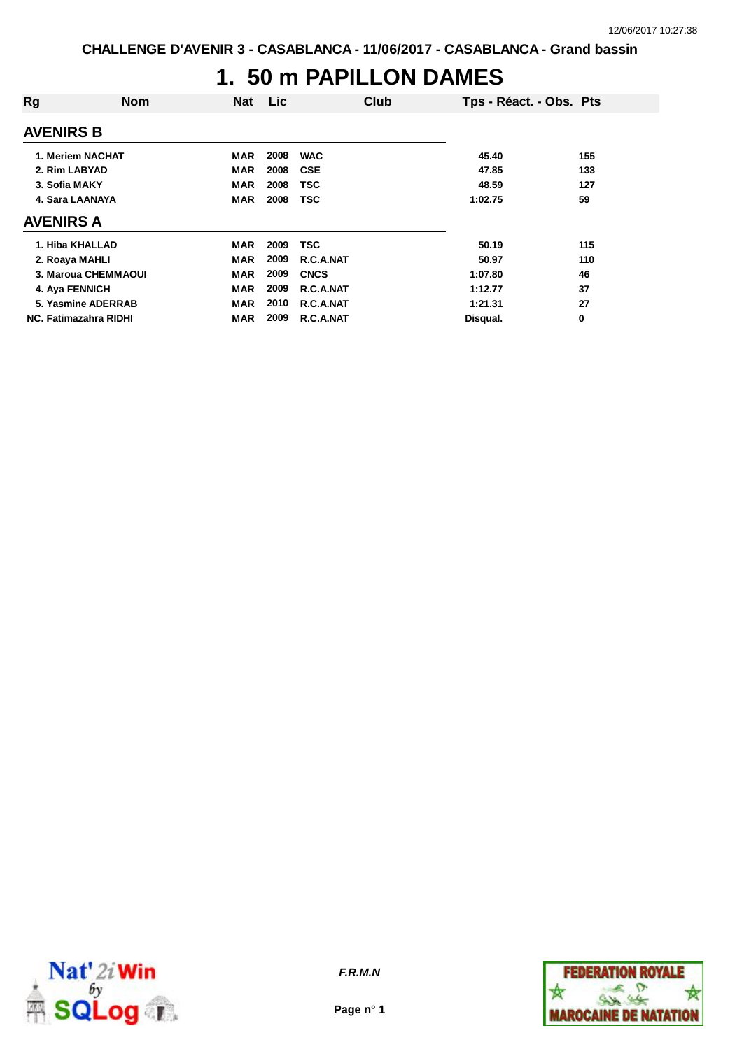### **1. 50 m PAPILLON DAMES**

| Rg                           | <b>Nom</b> | <b>Nat</b> | Lic  | Club        | Tps - Réact. - Obs. Pts |     |
|------------------------------|------------|------------|------|-------------|-------------------------|-----|
| <b>AVENIRS B</b>             |            |            |      |             |                         |     |
| 1. Meriem NACHAT             |            | MAR        | 2008 | <b>WAC</b>  | 45.40                   | 155 |
| 2. Rim LABYAD                |            | <b>MAR</b> | 2008 | <b>CSE</b>  | 47.85                   | 133 |
| 3. Sofia MAKY                |            | <b>MAR</b> | 2008 | <b>TSC</b>  | 48.59                   | 127 |
| 4. Sara LAANAYA              |            | <b>MAR</b> | 2008 | <b>TSC</b>  | 1:02.75                 | 59  |
| <b>AVENIRS A</b>             |            |            |      |             |                         |     |
| 1. Hiba KHALLAD              |            | <b>MAR</b> | 2009 | TSC         | 50.19                   | 115 |
| 2. Roaya MAHLI               |            | <b>MAR</b> | 2009 | R.C.A.NAT   | 50.97                   | 110 |
| 3. Maroua CHEMMAOUI          |            | <b>MAR</b> | 2009 | <b>CNCS</b> | 1:07.80                 | 46  |
| 4. Aya FENNICH               |            | <b>MAR</b> | 2009 | R.C.A.NAT   | 1:12.77                 | 37  |
| 5. Yasmine ADERRAB           |            | <b>MAR</b> | 2010 | R.C.A.NAT   | 1:21.31                 | 27  |
| <b>NC. Fatimazahra RIDHI</b> |            | MAR        | 2009 | R.C.A.NAT   | Disqual.                | 0   |



**Page n° 1**

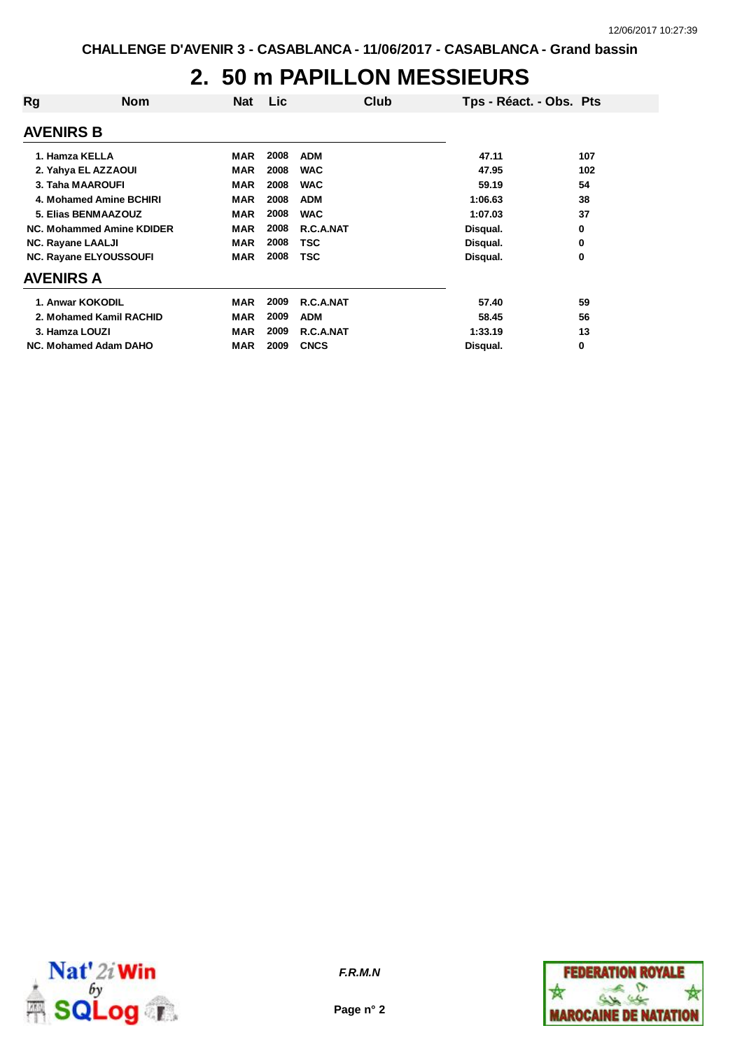# **2. 50 m PAPILLON MESSIEURS**

| Rg                       | <b>Nom</b>                    | <b>Nat</b> | Lic  | Club        | Tps - Réact. - Obs. Pts |     |
|--------------------------|-------------------------------|------------|------|-------------|-------------------------|-----|
| <b>AVENIRS B</b>         |                               |            |      |             |                         |     |
| 1. Hamza KELLA           |                               | <b>MAR</b> | 2008 | <b>ADM</b>  | 47.11                   | 107 |
|                          | 2. Yahya EL AZZAOUI           | <b>MAR</b> | 2008 | <b>WAC</b>  | 47.95                   | 102 |
| 3. Taha MAAROUFI         |                               | <b>MAR</b> | 2008 | <b>WAC</b>  | 59.19                   | 54  |
|                          | 4. Mohamed Amine BCHIRI       | <b>MAR</b> | 2008 | <b>ADM</b>  | 1:06.63                 | 38  |
|                          | 5. Elias BENMAAZOUZ           | <b>MAR</b> | 2008 | <b>WAC</b>  | 1:07.03                 | 37  |
|                          | NC. Mohammed Amine KDIDER     | <b>MAR</b> | 2008 | R.C.A.NAT   | Disqual.                | 0   |
| <b>NC. Rayane LAALJI</b> |                               | <b>MAR</b> | 2008 | <b>TSC</b>  | Disqual.                | 0   |
|                          | <b>NC. Rayane ELYOUSSOUFI</b> | <b>MAR</b> | 2008 | <b>TSC</b>  | Disqual.                | 0   |
| <b>AVENIRS A</b>         |                               |            |      |             |                         |     |
| 1. Anwar KOKODIL         |                               | MAR        | 2009 | R.C.A.NAT   | 57.40                   | 59  |
|                          | 2. Mohamed Kamil RACHID       | <b>MAR</b> | 2009 | <b>ADM</b>  | 58.45                   | 56  |
| 3. Hamza LOUZI           |                               | <b>MAR</b> | 2009 | R.C.A.NAT   | 1:33.19                 | 13  |
|                          | NC. Mohamed Adam DAHO         | <b>MAR</b> | 2009 | <b>CNCS</b> | Disqual.                | 0   |



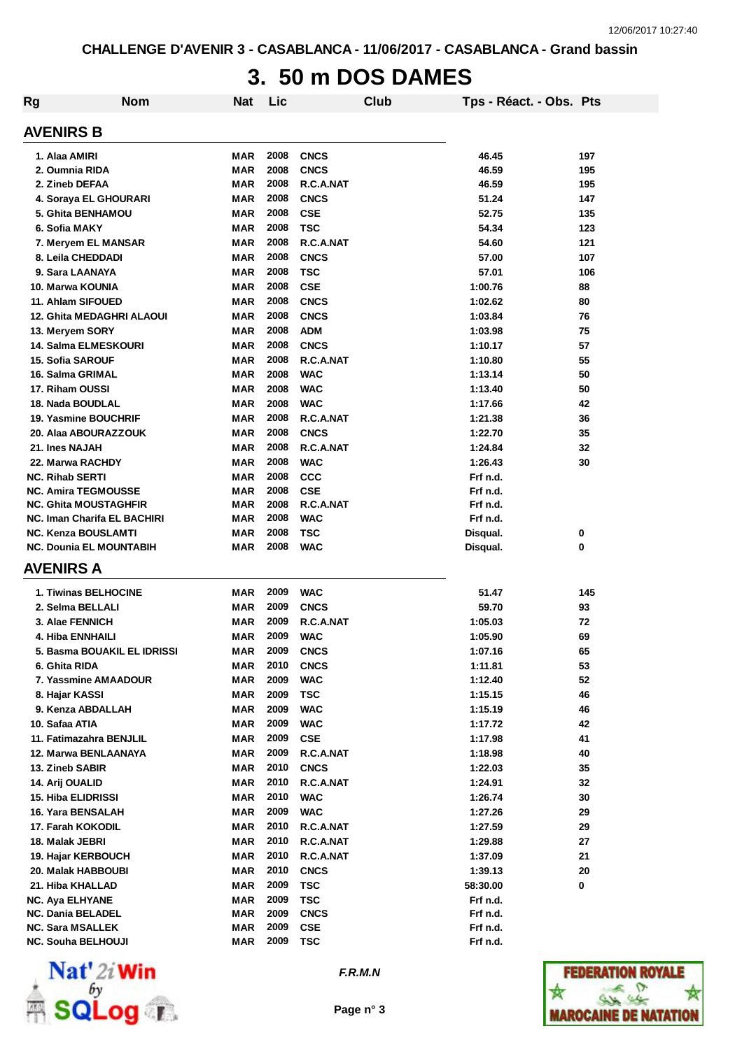# **3. 50 m DOS DAMES**

| Rg | <b>Nom</b>                         | <b>Nat</b> | Lic  |             | Club | Tps - Réact. - Obs. Pts |     |
|----|------------------------------------|------------|------|-------------|------|-------------------------|-----|
|    | <b>AVENIRS B</b>                   |            |      |             |      |                         |     |
|    | 1. Alaa AMIRI                      | MAR        | 2008 | <b>CNCS</b> |      | 46.45                   | 197 |
|    | 2. Oumnia RIDA                     | <b>MAR</b> | 2008 | <b>CNCS</b> |      | 46.59                   | 195 |
|    | 2. Zineb DEFAA                     | MAR        | 2008 | R.C.A.NAT   |      | 46.59                   | 195 |
|    | 4. Soraya EL GHOURARI              | <b>MAR</b> | 2008 | <b>CNCS</b> |      | 51.24                   | 147 |
|    | 5. Ghita BENHAMOU                  | <b>MAR</b> | 2008 | <b>CSE</b>  |      | 52.75                   | 135 |
|    | 6. Sofia MAKY                      | <b>MAR</b> | 2008 | <b>TSC</b>  |      | 54.34                   | 123 |
|    | 7. Meryem EL MANSAR                | <b>MAR</b> | 2008 | R.C.A.NAT   |      | 54.60                   | 121 |
|    | 8. Leila CHEDDADI                  | <b>MAR</b> | 2008 | <b>CNCS</b> |      | 57.00                   | 107 |
|    | 9. Sara LAANAYA                    | <b>MAR</b> | 2008 | <b>TSC</b>  |      | 57.01                   | 106 |
|    | 10. Marwa KOUNIA                   | <b>MAR</b> | 2008 | <b>CSE</b>  |      | 1:00.76                 | 88  |
|    | 11. Ahlam SIFOUED                  | <b>MAR</b> | 2008 | <b>CNCS</b> |      | 1:02.62                 | 80  |
|    | <b>12. Ghita MEDAGHRI ALAOUI</b>   | <b>MAR</b> | 2008 | <b>CNCS</b> |      | 1:03.84                 | 76  |
|    | 13. Meryem SORY                    | <b>MAR</b> | 2008 | <b>ADM</b>  |      | 1:03.98                 | 75  |
|    | 14. Salma ELMESKOURI               | MAR        | 2008 | <b>CNCS</b> |      | 1:10.17                 | 57  |
|    | 15. Sofia SAROUF                   | MAR        | 2008 | R.C.A.NAT   |      | 1:10.80                 | 55  |
|    | 16. Salma GRIMAL                   | MAR        | 2008 | <b>WAC</b>  |      | 1:13.14                 | 50  |
|    | 17. Riham OUSSI                    | MAR        | 2008 | <b>WAC</b>  |      | 1:13.40                 | 50  |
|    | 18. Nada BOUDLAL                   | MAR        | 2008 | <b>WAC</b>  |      | 1:17.66                 | 42  |
|    | <b>19. Yasmine BOUCHRIF</b>        | <b>MAR</b> | 2008 | R.C.A.NAT   |      | 1:21.38                 | 36  |
|    | 20. Alaa ABOURAZZOUK               | MAR        | 2008 | <b>CNCS</b> |      | 1:22.70                 | 35  |
|    | 21. Ines NAJAH                     | MAR        | 2008 | R.C.A.NAT   |      | 1:24.84                 | 32  |
|    | 22. Marwa RACHDY                   | MAR        | 2008 | <b>WAC</b>  |      | 1:26.43                 | 30  |
|    | <b>NC. Rihab SERTI</b>             | <b>MAR</b> | 2008 | <b>CCC</b>  |      | Frf n.d.                |     |
|    | <b>NC. Amira TEGMOUSSE</b>         | MAR        | 2008 | <b>CSE</b>  |      | Frf n.d.                |     |
|    | <b>NC. Ghita MOUSTAGHFIR</b>       | <b>MAR</b> | 2008 | R.C.A.NAT   |      | Frf n.d.                |     |
|    | <b>NC. Iman Charifa EL BACHIRI</b> | <b>MAR</b> | 2008 | <b>WAC</b>  |      | Frf n.d.                |     |
|    | <b>NC. Kenza BOUSLAMTI</b>         | <b>MAR</b> | 2008 | <b>TSC</b>  |      | Disqual.                | 0   |
|    | <b>NC. Dounia EL MOUNTABIH</b>     | MAR        | 2008 | <b>WAC</b>  |      | Disqual.                | 0   |
|    | AVENIRS A                          |            |      |             |      |                         |     |
|    | 1. Tiwinas BELHOCINE               | MAR        | 2009 | <b>WAC</b>  |      | 51.47                   | 145 |
|    | 2. Selma BELLALI                   | MAR        | 2009 | <b>CNCS</b> |      | 59.70                   | 93  |
|    | 3. Alae FENNICH                    | MAR        | 2009 | R.C.A.NAT   |      | 1:05.03                 | 72  |
|    | 4. Hiba ENNHAILI                   | MAR        | 2009 | <b>WAC</b>  |      | 1:05.90                 | 69  |
|    | 5. Basma BOUAKIL EL IDRISSI        | <b>MAR</b> | 2009 | <b>CNCS</b> |      | 1:07.16                 | 65  |
|    | 6. Ghita RIDA                      | MAR        | 2010 | <b>CNCS</b> |      | 1:11.81                 | 53  |
|    | 7. Yassmine AMAADOUR               | MAR        | 2009 | <b>WAC</b>  |      | 1:12.40                 | 52  |
|    | 8. Hajar KASSI                     | <b>MAR</b> | 2009 | <b>TSC</b>  |      | 1:15.15                 | 46  |
|    | 9. Kenza ABDALLAH                  | MAR        | 2009 | <b>WAC</b>  |      | 1:15.19                 | 46  |
|    | 10. Safaa ATIA                     | <b>MAR</b> | 2009 | <b>WAC</b>  |      | 1:17.72                 | 42  |
|    | 11. Fatimazahra BENJLIL            | <b>MAR</b> | 2009 | <b>CSE</b>  |      | 1:17.98                 | 41  |
|    | 12. Marwa BENLAANAYA               | <b>MAR</b> | 2009 | R.C.A.NAT   |      | 1:18.98                 | 40  |
|    | 13. Zineb SABIR                    | <b>MAR</b> | 2010 | <b>CNCS</b> |      | 1:22.03                 | 35  |
|    | 14. Arij OUALID                    | <b>MAR</b> | 2010 | R.C.A.NAT   |      | 1:24.91                 | 32  |
|    | <b>15. Hiba ELIDRISSI</b>          | MAR        | 2010 | WAC         |      | 1:26.74                 | 30  |
|    | 16. Yara BENSALAH                  | <b>MAR</b> | 2009 | <b>WAC</b>  |      | 1:27.26                 | 29  |
|    | 17. Farah KOKODIL                  | MAR        | 2010 | R.C.A.NAT   |      | 1:27.59                 | 29  |
|    | 18. Malak JEBRI                    | <b>MAR</b> | 2010 | R.C.A.NAT   |      | 1:29.88                 | 27  |
|    | 19. Hajar KERBOUCH                 | <b>MAR</b> | 2010 | R.C.A.NAT   |      | 1:37.09                 | 21  |
|    | 20. Malak HABBOUBI                 | <b>MAR</b> | 2010 | <b>CNCS</b> |      | 1:39.13                 | 20  |
|    | 21. Hiba KHALLAD                   | <b>MAR</b> | 2009 | <b>TSC</b>  |      | 58:30.00                | 0   |
|    | <b>NC. Aya ELHYANE</b>             | <b>MAR</b> | 2009 | <b>TSC</b>  |      | Frf n.d.                |     |
|    | <b>NC. Dania BELADEL</b>           | <b>MAR</b> | 2009 | <b>CNCS</b> |      | Frf n.d.                |     |
|    | <b>NC. Sara MSALLEK</b>            | MAR        | 2009 | <b>CSE</b>  |      | Frf n.d.                |     |
|    | <b>NC. Souha BELHOUJI</b>          | MAR        | 2009 | <b>TSC</b>  |      | Frf n.d.                |     |



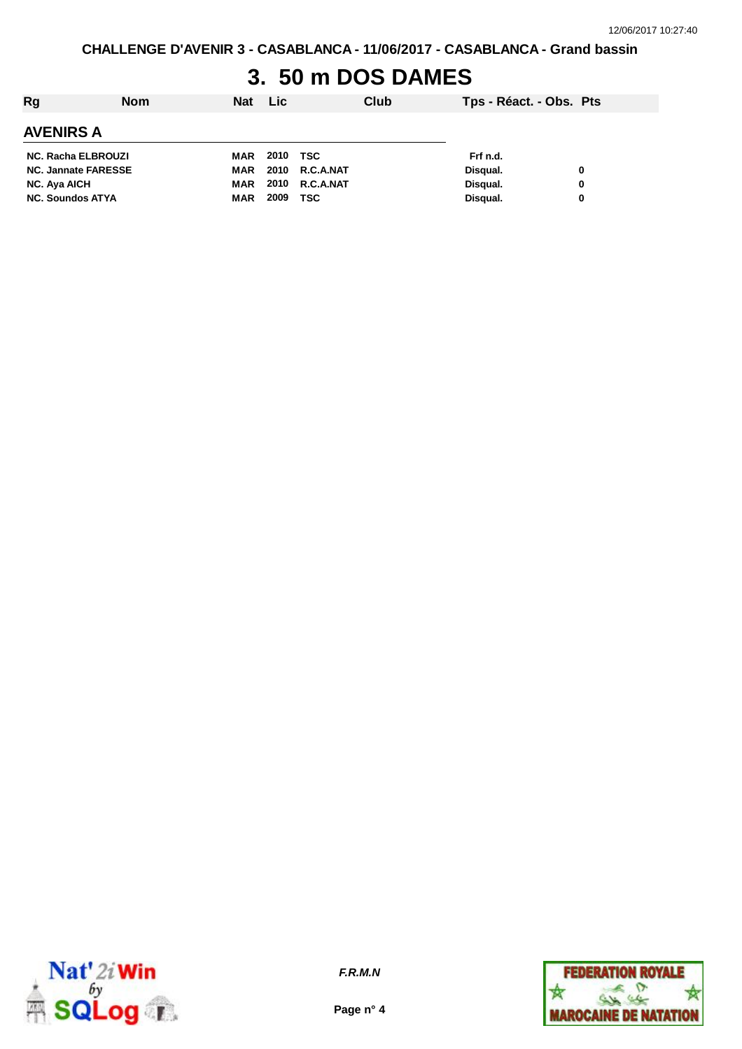# **3. 50 m DOS DAMES**

| Rg                         | <b>Nom</b> | Nat | <b>Lic</b> |                | Club | Tps - Réact. - Obs. Pts |   |
|----------------------------|------------|-----|------------|----------------|------|-------------------------|---|
| <b>AVENIRS A</b>           |            |     |            |                |      |                         |   |
| <b>NC. Racha ELBROUZI</b>  |            | MAR | 2010 TSC   |                |      | Frf n.d.                |   |
| <b>NC. Jannate FARESSE</b> |            | MAR |            | 2010 R.C.A.NAT |      | Disqual.                | 0 |
| <b>NC. Aya AICH</b>        |            | MAR |            | 2010 R.C.A.NAT |      | Disqual.                | 0 |
| <b>NC. Soundos ATYA</b>    |            | MAR | 2009       | TSC            |      | Disqual.                | 0 |



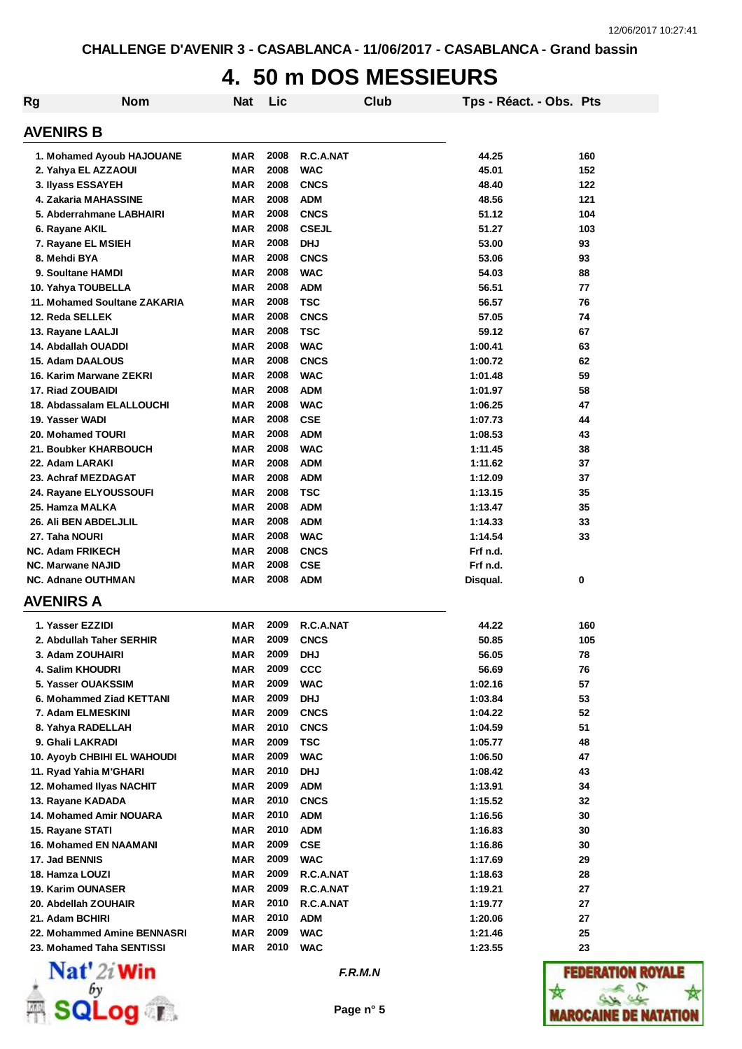### **4. 50 m DOS MESSIEURS**

| Rg                           | <b>Nom</b>                         | <b>Nat</b> | Lic  |              | <b>Club</b> | Tps - Réact. - Obs. Pts |     |
|------------------------------|------------------------------------|------------|------|--------------|-------------|-------------------------|-----|
| <b>AVENIRS B</b>             |                                    |            |      |              |             |                         |     |
|                              | 1. Mohamed Ayoub HAJOUANE          | MAR        | 2008 | R.C.A.NAT    |             | 44.25                   | 160 |
| 2. Yahya EL AZZAOUI          |                                    | MAR        | 2008 | <b>WAC</b>   |             | 45.01                   | 152 |
| 3. Ilyass ESSAYEH            |                                    | <b>MAR</b> | 2008 | <b>CNCS</b>  |             | 48.40                   | 122 |
| 4. Zakaria MAHASSINE         |                                    | <b>MAR</b> | 2008 | <b>ADM</b>   |             | 48.56                   | 121 |
|                              | 5. Abderrahmane LABHAIRI           | <b>MAR</b> | 2008 | <b>CNCS</b>  |             | 51.12                   | 104 |
| 6. Rayane AKIL               |                                    | MAR        | 2008 | <b>CSEJL</b> |             | 51.27                   | 103 |
| 7. Rayane EL MSIEH           |                                    | <b>MAR</b> | 2008 | <b>DHJ</b>   |             | 53.00                   | 93  |
| 8. Mehdi BYA                 |                                    | <b>MAR</b> | 2008 | <b>CNCS</b>  |             | 53.06                   | 93  |
| 9. Soultane HAMDI            |                                    | MAR        | 2008 | <b>WAC</b>   |             | 54.03                   | 88  |
| 10. Yahya TOUBELLA           |                                    | <b>MAR</b> | 2008 | <b>ADM</b>   |             | 56.51                   | 77  |
|                              | 11. Mohamed Soultane ZAKARIA       | <b>MAR</b> | 2008 | <b>TSC</b>   |             | 56.57                   | 76  |
| 12. Reda SELLEK              |                                    | <b>MAR</b> | 2008 | <b>CNCS</b>  |             | 57.05                   | 74  |
| 13. Rayane LAALJI            |                                    | <b>MAR</b> | 2008 | <b>TSC</b>   |             | 59.12                   | 67  |
| 14. Abdallah OUADDI          |                                    | <b>MAR</b> | 2008 | <b>WAC</b>   |             | 1:00.41                 | 63  |
| 15. Adam DAALOUS             |                                    | <b>MAR</b> | 2008 | <b>CNCS</b>  |             | 1:00.72                 | 62  |
|                              | 16. Karim Marwane ZEKRI            | <b>MAR</b> | 2008 | <b>WAC</b>   |             | 1:01.48                 | 59  |
| 17. Riad ZOUBAIDI            |                                    | <b>MAR</b> | 2008 | <b>ADM</b>   |             | 1:01.97                 | 58  |
|                              | 18. Abdassalam ELALLOUCHI          | <b>MAR</b> | 2008 | <b>WAC</b>   |             | 1:06.25                 | 47  |
| 19. Yasser WADI              |                                    | <b>MAR</b> | 2008 | <b>CSE</b>   |             | 1:07.73                 | 44  |
| 20. Mohamed TOURI            |                                    | <b>MAR</b> | 2008 | <b>ADM</b>   |             | 1:08.53                 | 43  |
|                              | 21. Boubker KHARBOUCH              | MAR        | 2008 | <b>WAC</b>   |             | 1:11.45                 | 38  |
| 22. Adam LARAKI              |                                    | <b>MAR</b> | 2008 | <b>ADM</b>   |             | 1:11.62                 | 37  |
| 23. Achraf MEZDAGAT          |                                    | <b>MAR</b> | 2008 | <b>ADM</b>   |             | 1:12.09                 | 37  |
|                              | 24. Rayane ELYOUSSOUFI             | <b>MAR</b> | 2008 | <b>TSC</b>   |             | 1:13.15                 | 35  |
| 25. Hamza MALKA              |                                    | MAR        | 2008 | <b>ADM</b>   |             | 1:13.47                 | 35  |
| <b>26. Ali BEN ABDELJLIL</b> |                                    | MAR        | 2008 | <b>ADM</b>   |             | 1:14.33                 | 33  |
| 27. Taha NOURI               |                                    | MAR        | 2008 | <b>WAC</b>   |             | 1:14.54                 | 33  |
| <b>NC. Adam FRIKECH</b>      |                                    | MAR        | 2008 | <b>CNCS</b>  |             | Frf n.d.                |     |
| <b>NC. Marwane NAJID</b>     |                                    | MAR        | 2008 | <b>CSE</b>   |             | Frf n.d.                |     |
| <b>NC. Adnane OUTHMAN</b>    |                                    | MAR        | 2008 | <b>ADM</b>   |             | Disqual.                | 0   |
| <b>AVENIRS A</b>             |                                    |            |      |              |             |                         |     |
| 1. Yasser EZZIDI             |                                    | MAR        | 2009 | R.C.A.NAT    |             | 44.22                   | 160 |
|                              | 2. Abdullah Taher SERHIR           | MAR        | 2009 | <b>CNCS</b>  |             | 50.85                   | 105 |
| 3. Adam ZOUHAIRI             |                                    | MAR        | 2009 | <b>DHJ</b>   |             | 56.05                   | 78  |
| 4. Salim KHOUDRI             |                                    | MAR        | 2009 | <b>CCC</b>   |             | 56.69                   | 76  |
| 5. Yasser OUAKSSIM           |                                    | MAR        | 2009 | <b>WAC</b>   |             | 1:02.16                 | 57  |
|                              | 6. Mohammed Ziad KETTANI           | <b>MAR</b> | 2009 | <b>DHJ</b>   |             | 1:03.84                 | 53  |
| 7. Adam ELMESKINI            |                                    | <b>MAR</b> | 2009 | <b>CNCS</b>  |             | 1:04.22                 | 52  |
| 8. Yahya RADELLAH            |                                    | <b>MAR</b> | 2010 | <b>CNCS</b>  |             | 1:04.59                 | 51  |
| 9. Ghali LAKRADI             |                                    | MAR        | 2009 | <b>TSC</b>   |             | 1:05.77                 | 48  |
|                              | <b>10. Ayoyb CHBIHI EL WAHOUDI</b> | <b>MAR</b> | 2009 | <b>WAC</b>   |             | 1:06.50                 | 47  |
| 11. Ryad Yahia M'GHARI       |                                    | MAR        | 2010 | <b>DHJ</b>   |             | 1:08.42                 | 43  |
|                              | 12. Mohamed Ilyas NACHIT           | <b>MAR</b> | 2009 | <b>ADM</b>   |             | 1:13.91                 | 34  |
| 13. Rayane KADADA            |                                    | MAR        | 2010 | <b>CNCS</b>  |             | 1:15.52                 | 32  |
|                              | 14. Mohamed Amir NOUARA            | MAR        | 2010 | <b>ADM</b>   |             | 1:16.56                 | 30  |
| 15. Rayane STATI             |                                    | MAR        | 2010 | <b>ADM</b>   |             | 1:16.83                 | 30  |
|                              | <b>16. Mohamed EN NAAMANI</b>      | MAR        | 2009 | <b>CSE</b>   |             | 1:16.86                 | 30  |
| 17. Jad BENNIS               |                                    | MAR        | 2009 | <b>WAC</b>   |             | 1:17.69                 | 29  |
| 18. Hamza LOUZI              |                                    | <b>MAR</b> | 2009 | R.C.A.NAT    |             | 1:18.63                 | 28  |
| 19. Karim OUNASER            |                                    | <b>MAR</b> | 2009 | R.C.A.NAT    |             | 1:19.21                 | 27  |
| 20. Abdellah ZOUHAIR         |                                    | <b>MAR</b> | 2010 | R.C.A.NAT    |             | 1:19.77                 | 27  |
| 21. Adam BCHIRI              |                                    | MAR        | 2010 | <b>ADM</b>   |             | 1:20.06                 | 27  |
|                              | 22. Mohammed Amine BENNASRI        | MAR        | 2009 | <b>WAC</b>   |             | 1:21.46                 | 25  |
|                              | 23. Mohamed Taha SENTISSI          | MAR        | 2010 | <b>WAC</b>   |             | 1:23.55                 | 23  |



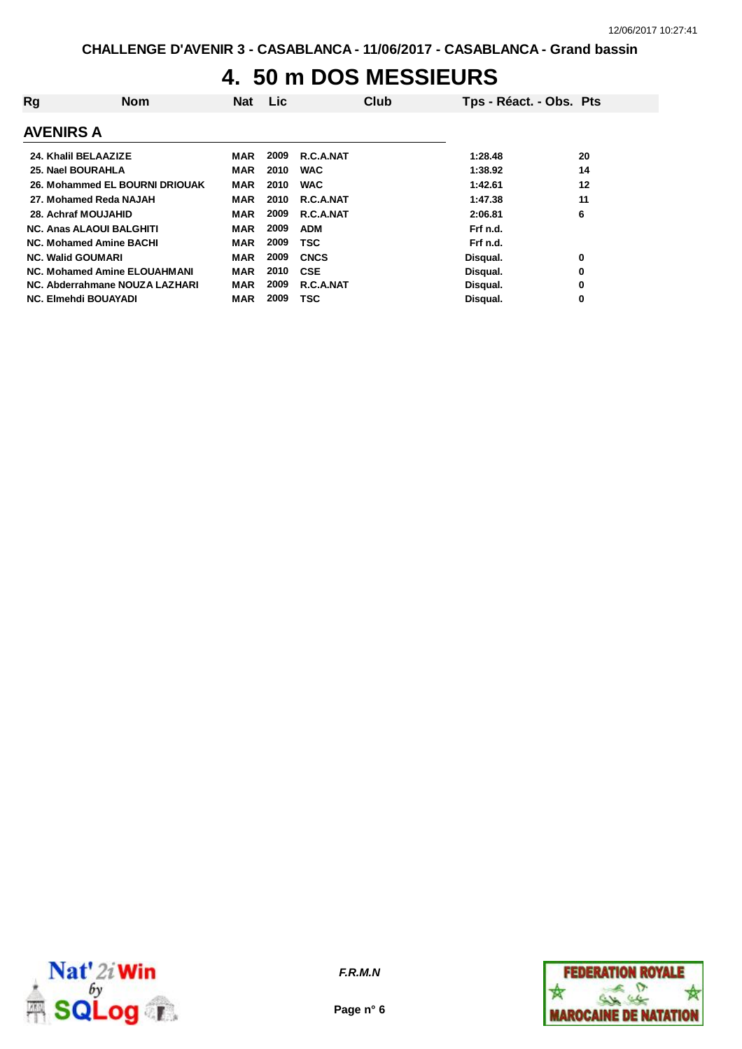### **4. 50 m DOS MESSIEURS**

| Rg                                  | <b>Nom</b>                     | <b>Nat</b> | <b>Lic</b> |             | Club | Tps - Réact. - Obs. Pts |    |
|-------------------------------------|--------------------------------|------------|------------|-------------|------|-------------------------|----|
| <b>AVENIRS A</b>                    |                                |            |            |             |      |                         |    |
| 24. Khalil BELAAZIZE                |                                | MAR        | 2009       | R.C.A.NAT   |      | 1:28.48                 | 20 |
| 25. Nael BOURAHLA                   |                                | MAR        | 2010       | <b>WAC</b>  |      | 1:38.92                 | 14 |
|                                     | 26. Mohammed EL BOURNI DRIOUAK | <b>MAR</b> | 2010       | <b>WAC</b>  |      | 1:42.61                 | 12 |
| 27. Mohamed Reda NAJAH              |                                | <b>MAR</b> | 2010       | R.C.A.NAT   |      | 1:47.38                 | 11 |
| 28. Achraf MOUJAHID                 |                                | <b>MAR</b> | 2009       | R.C.A.NAT   |      | 2:06.81                 | 6  |
| <b>NC. Anas ALAOUI BALGHITI</b>     |                                | MAR        | 2009       | <b>ADM</b>  |      | Frf n.d.                |    |
| <b>NC. Mohamed Amine BACHI</b>      |                                | MAR        | 2009       | TSC         |      | Frf n.d.                |    |
| <b>NC. Walid GOUMARI</b>            |                                | <b>MAR</b> | 2009       | <b>CNCS</b> |      | Disqual.                | 0  |
| <b>NC. Mohamed Amine ELOUAHMANI</b> |                                | <b>MAR</b> | 2010       | <b>CSE</b>  |      | Disqual.                | 0  |
| NC. Abderrahmane NOUZA LAZHARI      |                                | MAR        | 2009       | R.C.A.NAT   |      | Disqual.                | 0  |
| <b>NC. Elmehdi BOUAYADI</b>         |                                | MAR        | 2009       | TSC         |      | Disqual.                | 0  |



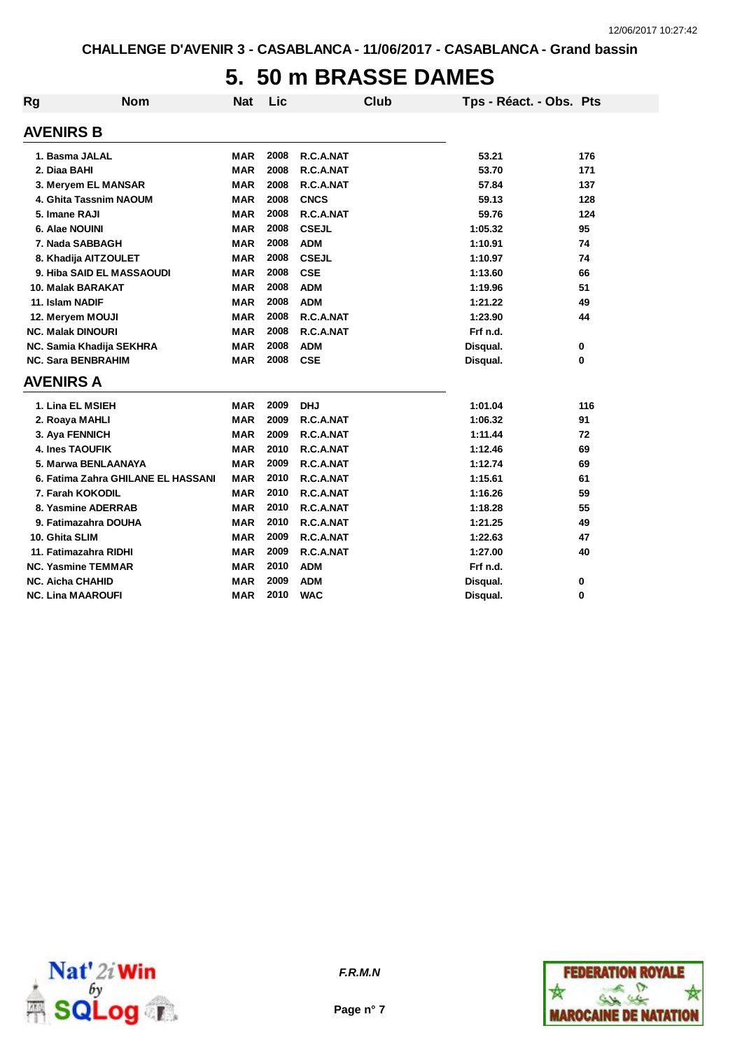### **5. 50 m BRASSE DAMES**

| <b>Rg</b> | <b>Nom</b>                         | <b>Nat</b> | Lic  | <b>Club</b>  | Tps - Réact. - Obs. Pts |     |
|-----------|------------------------------------|------------|------|--------------|-------------------------|-----|
|           | <b>AVENIRS B</b>                   |            |      |              |                         |     |
|           | 1. Basma JALAL                     | <b>MAR</b> | 2008 | R.C.A.NAT    | 53.21                   | 176 |
|           | 2. Diaa BAHI                       | <b>MAR</b> | 2008 | R.C.A.NAT    | 53.70                   | 171 |
|           | 3. Meryem EL MANSAR                | <b>MAR</b> | 2008 | R.C.A.NAT    | 57.84                   | 137 |
|           | 4. Ghita Tassnim NAOUM             | <b>MAR</b> | 2008 | <b>CNCS</b>  | 59.13                   | 128 |
|           | 5. Imane RAJI                      | <b>MAR</b> | 2008 | R.C.A.NAT    | 59.76                   | 124 |
|           | 6. Alae NOUINI                     | <b>MAR</b> | 2008 | <b>CSEJL</b> | 1:05.32                 | 95  |
|           | 7. Nada SABBAGH                    | <b>MAR</b> | 2008 | <b>ADM</b>   | 1:10.91                 | 74  |
|           | 8. Khadija AITZOULET               | <b>MAR</b> | 2008 | <b>CSEJL</b> | 1:10.97                 | 74  |
|           | 9. Hiba SAID EL MASSAOUDI          | <b>MAR</b> | 2008 | <b>CSE</b>   | 1:13.60                 | 66  |
|           | 10. Malak BARAKAT                  | <b>MAR</b> | 2008 | <b>ADM</b>   | 1:19.96                 | 51  |
|           | 11. Islam NADIF                    | <b>MAR</b> | 2008 | <b>ADM</b>   | 1:21.22                 | 49  |
|           | 12. Meryem MOUJI                   | <b>MAR</b> | 2008 | R.C.A.NAT    | 1:23.90                 | 44  |
|           | <b>NC. Malak DINOURI</b>           | <b>MAR</b> | 2008 | R.C.A.NAT    | Frf n.d.                |     |
|           | NC. Samia Khadija SEKHRA           | <b>MAR</b> | 2008 | <b>ADM</b>   | Disqual.                | 0   |
|           | <b>NC. Sara BENBRAHIM</b>          | <b>MAR</b> | 2008 | <b>CSE</b>   | Disqual.                | 0   |
|           | <b>AVENIRS A</b>                   |            |      |              |                         |     |
|           | 1. Lina EL MSIEH                   | <b>MAR</b> | 2009 | <b>DHJ</b>   | 1:01.04                 | 116 |
|           | 2. Roaya MAHLI                     | <b>MAR</b> | 2009 | R.C.A.NAT    | 1:06.32                 | 91  |
|           | 3. Aya FENNICH                     | <b>MAR</b> | 2009 | R.C.A.NAT    | 1:11.44                 | 72  |
|           | 4. Ines TAOUFIK                    | <b>MAR</b> | 2010 | R.C.A.NAT    | 1:12.46                 | 69  |
|           | 5. Marwa BENLAANAYA                | <b>MAR</b> | 2009 | R.C.A.NAT    | 1:12.74                 | 69  |
|           | 6. Fatima Zahra GHILANE EL HASSANI | MAR        | 2010 | R.C.A.NAT    | 1:15.61                 | 61  |
|           | 7. Farah KOKODIL                   | <b>MAR</b> | 2010 | R.C.A.NAT    | 1:16.26                 | 59  |
|           | 8. Yasmine ADERRAB                 | <b>MAR</b> | 2010 | R.C.A.NAT    | 1:18.28                 | 55  |
|           | 9. Fatimazahra DOUHA               | <b>MAR</b> | 2010 | R.C.A.NAT    | 1:21.25                 | 49  |
|           | 10. Ghita SLIM                     | <b>MAR</b> | 2009 | R.C.A.NAT    | 1:22.63                 | 47  |
|           | 11. Fatimazahra RIDHI              | <b>MAR</b> | 2009 | R.C.A.NAT    | 1:27.00                 | 40  |
|           | <b>NC. Yasmine TEMMAR</b>          | <b>MAR</b> | 2010 | <b>ADM</b>   | Frf n.d.                |     |
|           | <b>NC. Aicha CHAHID</b>            | <b>MAR</b> | 2009 | <b>ADM</b>   | Disqual.                | 0   |
|           | <b>NC. Lina MAAROUFI</b>           | <b>MAR</b> | 2010 | <b>WAC</b>   | Disqual.                | 0   |



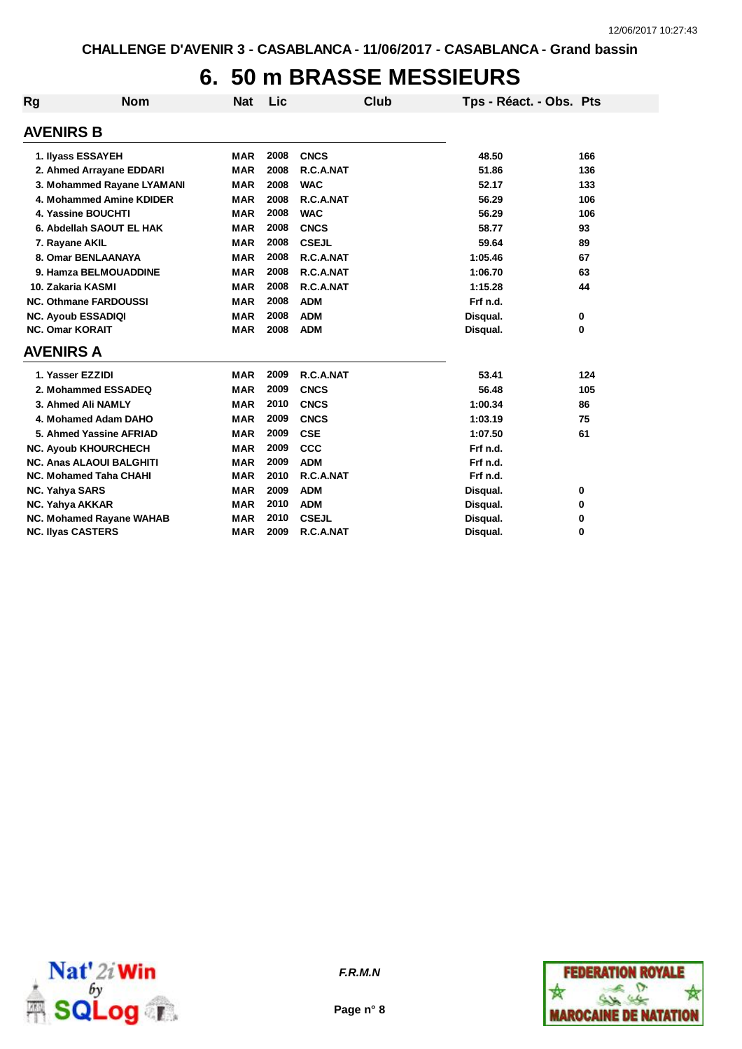# **6. 50 m BRASSE MESSIEURS**

| Rg                       | <b>Nom</b>                      | <b>Nat</b> | Lic  | <b>Club</b>  | Tps - Réact. - Obs. Pts |     |
|--------------------------|---------------------------------|------------|------|--------------|-------------------------|-----|
| <b>AVENIRS B</b>         |                                 |            |      |              |                         |     |
|                          | 1. Ilyass ESSAYEH               | <b>MAR</b> | 2008 | <b>CNCS</b>  | 48.50                   | 166 |
|                          | 2. Ahmed Arrayane EDDARI        | <b>MAR</b> | 2008 | R.C.A.NAT    | 51.86                   | 136 |
|                          | 3. Mohammed Rayane LYAMANI      | <b>MAR</b> | 2008 | <b>WAC</b>   | 52.17                   | 133 |
|                          | 4. Mohammed Amine KDIDER        | <b>MAR</b> | 2008 | R.C.A.NAT    | 56.29                   | 106 |
|                          | 4. Yassine BOUCHTI              | <b>MAR</b> | 2008 | <b>WAC</b>   | 56.29                   | 106 |
|                          | 6. Abdellah SAOUT EL HAK        | <b>MAR</b> | 2008 | <b>CNCS</b>  | 58.77                   | 93  |
| 7. Rayane AKIL           |                                 | <b>MAR</b> | 2008 | <b>CSEJL</b> | 59.64                   | 89  |
|                          | 8. Omar BENLAANAYA              | <b>MAR</b> | 2008 | R.C.A.NAT    | 1:05.46                 | 67  |
|                          | 9. Hamza BELMOUADDINE           | <b>MAR</b> | 2008 | R.C.A.NAT    | 1:06.70                 | 63  |
| 10. Zakaria KASMI        |                                 | <b>MAR</b> | 2008 | R.C.A.NAT    | 1:15.28                 | 44  |
|                          | <b>NC. Othmane FARDOUSSI</b>    | <b>MAR</b> | 2008 | <b>ADM</b>   | Frf n.d.                |     |
|                          | <b>NC. Ayoub ESSADIQI</b>       | <b>MAR</b> | 2008 | <b>ADM</b>   | Disqual.                | 0   |
| <b>NC. Omar KORAIT</b>   |                                 | <b>MAR</b> | 2008 | <b>ADM</b>   | Disqual.                | 0   |
| <b>AVENIRS A</b>         |                                 |            |      |              |                         |     |
| 1. Yasser EZZIDI         |                                 | <b>MAR</b> | 2009 | R.C.A.NAT    | 53.41                   | 124 |
|                          | 2. Mohammed ESSADEQ             | <b>MAR</b> | 2009 | <b>CNCS</b>  | 56.48                   | 105 |
|                          | 3. Ahmed Ali NAMLY              | <b>MAR</b> | 2010 | <b>CNCS</b>  | 1:00.34                 | 86  |
|                          | 4. Mohamed Adam DAHO            | <b>MAR</b> | 2009 | <b>CNCS</b>  | 1:03.19                 | 75  |
|                          | 5. Ahmed Yassine AFRIAD         | <b>MAR</b> | 2009 | <b>CSE</b>   | 1:07.50                 | 61  |
|                          | <b>NC. Ayoub KHOURCHECH</b>     | <b>MAR</b> | 2009 | <b>CCC</b>   | Frf n.d.                |     |
|                          | <b>NC. Anas ALAOUI BALGHITI</b> | <b>MAR</b> | 2009 | <b>ADM</b>   | Frf n.d.                |     |
|                          | <b>NC. Mohamed Taha CHAHI</b>   | <b>MAR</b> | 2010 | R.C.A.NAT    | Frf n.d.                |     |
| <b>NC. Yahya SARS</b>    |                                 | <b>MAR</b> | 2009 | <b>ADM</b>   | Disqual.                | 0   |
| NC. Yahya AKKAR          |                                 | <b>MAR</b> | 2010 | <b>ADM</b>   | Disqual.                | 0   |
|                          | <b>NC. Mohamed Rayane WAHAB</b> | <b>MAR</b> | 2010 | <b>CSEJL</b> | Disqual.                | 0   |
| <b>NC. Ilyas CASTERS</b> |                                 | <b>MAR</b> | 2009 | R.C.A.NAT    | Disqual.                | 0   |



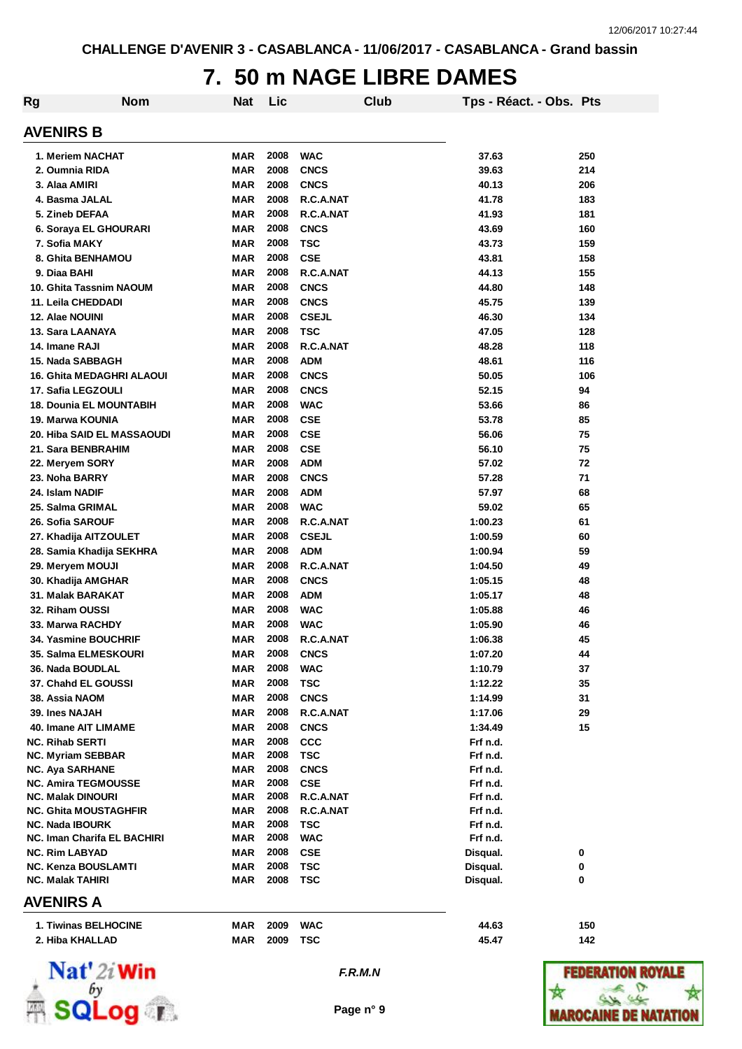### **7. 50 m NAGE LIBRE DAMES**

| Rg                                                 | <b>Nom</b> | <b>Nat</b>               | Lic          |                           | Club | Tps - Réact. - Obs. Pts |     |
|----------------------------------------------------|------------|--------------------------|--------------|---------------------------|------|-------------------------|-----|
|                                                    |            |                          |              |                           |      |                         |     |
| <b>AVENIRS B</b>                                   |            |                          |              |                           |      |                         |     |
| 1. Meriem NACHAT                                   |            | MAR                      | 2008         | <b>WAC</b>                |      | 37.63                   | 250 |
| 2. Oumnia RIDA                                     |            | <b>MAR</b>               | 2008         | <b>CNCS</b>               |      | 39.63                   | 214 |
| 3. Alaa AMIRI                                      |            | <b>MAR</b>               | 2008         | <b>CNCS</b>               |      | 40.13                   | 206 |
| 4. Basma JALAL                                     |            | <b>MAR</b>               | 2008         | R.C.A.NAT                 |      | 41.78                   | 183 |
| 5. Zineb DEFAA                                     |            | <b>MAR</b>               | 2008         | R.C.A.NAT                 |      | 41.93                   | 181 |
| 6. Soraya EL GHOURARI                              |            | <b>MAR</b>               | 2008         | <b>CNCS</b>               |      | 43.69                   | 160 |
| 7. Sofia MAKY                                      |            | <b>MAR</b>               | 2008         | <b>TSC</b>                |      | 43.73                   | 159 |
| 8. Ghita BENHAMOU                                  |            | <b>MAR</b>               | 2008         | <b>CSE</b>                |      | 43.81                   | 158 |
| 9. Diaa BAHI                                       |            | <b>MAR</b>               | 2008         | R.C.A.NAT                 |      | 44.13                   | 155 |
| 10. Ghita Tassnim NAOUM                            |            | <b>MAR</b>               | 2008         | <b>CNCS</b>               |      | 44.80                   | 148 |
| 11. Leila CHEDDADI                                 |            | <b>MAR</b>               | 2008         | <b>CNCS</b>               |      | 45.75                   | 139 |
| 12. Alae NOUINI                                    |            | <b>MAR</b>               | 2008         | <b>CSEJL</b>              |      | 46.30                   | 134 |
| 13. Sara LAANAYA                                   |            | <b>MAR</b>               | 2008         | <b>TSC</b>                |      | 47.05                   | 128 |
| 14. Imane RAJI                                     |            | <b>MAR</b>               | 2008         | R.C.A.NAT                 |      | 48.28                   | 118 |
| 15. Nada SABBAGH                                   |            | <b>MAR</b>               | 2008         | <b>ADM</b>                |      | 48.61                   | 116 |
| <b>16. Ghita MEDAGHRI ALAOUI</b>                   |            | <b>MAR</b>               | 2008         | <b>CNCS</b>               |      | 50.05                   | 106 |
| 17. Safia LEGZOULI                                 |            | <b>MAR</b>               | 2008         | <b>CNCS</b>               |      | 52.15                   | 94  |
| 18. Dounia EL MOUNTABIH                            |            | <b>MAR</b>               | 2008         | <b>WAC</b>                |      | 53.66                   | 86  |
| 19. Marwa KOUNIA                                   |            | <b>MAR</b>               | 2008         | <b>CSE</b>                |      | 53.78                   | 85  |
| 20. Hiba SAID EL MASSAOUDI                         |            | <b>MAR</b>               | 2008         | <b>CSE</b>                |      | 56.06                   | 75  |
| 21. Sara BENBRAHIM                                 |            | <b>MAR</b>               | 2008         | <b>CSE</b>                |      | 56.10                   | 75  |
| 22. Meryem SORY                                    |            | <b>MAR</b>               | 2008         | <b>ADM</b>                |      | 57.02                   | 72  |
| 23. Noha BARRY                                     |            | <b>MAR</b>               | 2008         | <b>CNCS</b>               |      | 57.28                   | 71  |
| 24. Islam NADIF                                    |            | <b>MAR</b>               | 2008         | <b>ADM</b>                |      | 57.97                   | 68  |
| 25. Salma GRIMAL                                   |            | <b>MAR</b>               | 2008         | <b>WAC</b>                |      | 59.02                   | 65  |
| 26. Sofia SAROUF                                   |            | <b>MAR</b>               | 2008         | R.C.A.NAT                 |      | 1:00.23                 | 61  |
| 27. Khadija AITZOULET                              |            | MAR                      | 2008         | <b>CSEJL</b>              |      | 1:00.59                 | 60  |
| 28. Samia Khadija SEKHRA                           |            | MAR                      | 2008         | <b>ADM</b>                |      | 1:00.94                 | 59  |
| 29. Meryem MOUJI                                   |            | MAR                      | 2008         | R.C.A.NAT                 |      | 1:04.50                 | 49  |
| 30. Khadija AMGHAR                                 |            | <b>MAR</b>               | 2008         | <b>CNCS</b>               |      | 1:05.15                 | 48  |
| 31. Malak BARAKAT                                  |            | <b>MAR</b>               | 2008         | <b>ADM</b>                |      | 1:05.17                 | 48  |
| 32. Riham OUSSI                                    |            | MAR                      | 2008         | <b>WAC</b>                |      | 1:05.88                 | 46  |
| 33. Marwa RACHDY                                   |            | <b>MAR</b>               | 2008         | <b>WAC</b>                |      | 1:05.90                 | 46  |
| 34. Yasmine BOUCHRIF                               |            | MAR                      | 2008         | R.C.A.NAT                 |      | 1:06.38                 | 45  |
| 35. Salma ELMESKOURI                               |            | <b>MAR</b>               | 2008         | <b>CNCS</b>               |      | 1:07.20                 | 44  |
| 36. Nada BOUDLAL                                   |            | MAR                      | 2008         | <b>WAC</b>                |      | 1:10.79                 | 37  |
| 37. Chahd EL GOUSSI                                |            | <b>MAR</b>               | 2008         | <b>TSC</b>                |      | 1:12.22                 | 35  |
| 38. Assia NAOM                                     |            | MAR                      | 2008         | <b>CNCS</b>               |      | 1:14.99                 | 31  |
| 39. Ines NAJAH                                     |            | MAR                      | 2008         | R.C.A.NAT                 |      | 1:17.06                 | 29  |
| 40. Imane AIT LIMAME                               |            | <b>MAR</b>               | 2008         | <b>CNCS</b>               |      | 1:34.49                 | 15  |
| <b>NC. Rihab SERTI</b>                             |            | <b>MAR</b>               | 2008<br>2008 | <b>CCC</b>                |      | Frf n.d.                |     |
| <b>NC. Myriam SEBBAR</b><br><b>NC. Aya SARHANE</b> |            | <b>MAR</b><br><b>MAR</b> | 2008         | <b>TSC</b><br><b>CNCS</b> |      | Frf n.d.<br>Frf n.d.    |     |
| <b>NC. Amira TEGMOUSSE</b>                         |            | MAR                      | 2008         | <b>CSE</b>                |      | Frf n.d.                |     |
| <b>NC. Malak DINOURI</b>                           |            | MAR                      | 2008         | R.C.A.NAT                 |      | Frf n.d.                |     |
| <b>NC. Ghita MOUSTAGHFIR</b>                       |            | MAR                      | 2008         | R.C.A.NAT                 |      | Frf n.d.                |     |
| <b>NC. Nada IBOURK</b>                             |            | MAR                      | 2008         | TSC                       |      | Frf n.d.                |     |
| NC. Iman Charifa EL BACHIRI                        |            | MAR                      | 2008         | <b>WAC</b>                |      | Frf n.d.                |     |
| <b>NC. Rim LABYAD</b>                              |            | <b>MAR</b>               | 2008         | <b>CSE</b>                |      | Disqual.                | 0   |
| <b>NC. Kenza BOUSLAMTI</b>                         |            | <b>MAR</b>               | 2008         | <b>TSC</b>                |      | Disqual.                | 0   |
| <b>NC. Malak TAHIRI</b>                            |            | MAR                      | 2008         | TSC                       |      | Disqual.                | 0   |
| AVENIRS A                                          |            |                          |              |                           |      |                         |     |
| 1 Tiwings REI HOCINE                               |            |                          | MAP 2009 WAC |                           |      | 11 G2                   | 150 |

| 1. Tiwinas BELHOCINE | <b>MAR</b> | 2009 | <b>WAC</b> | 44.63 | 150 |
|----------------------|------------|------|------------|-------|-----|
| 2. Hiba KHALLAD      | <b>MAR</b> | 2009 | <b>TSC</b> | 45.47 | 142 |



*F.R.M.N*

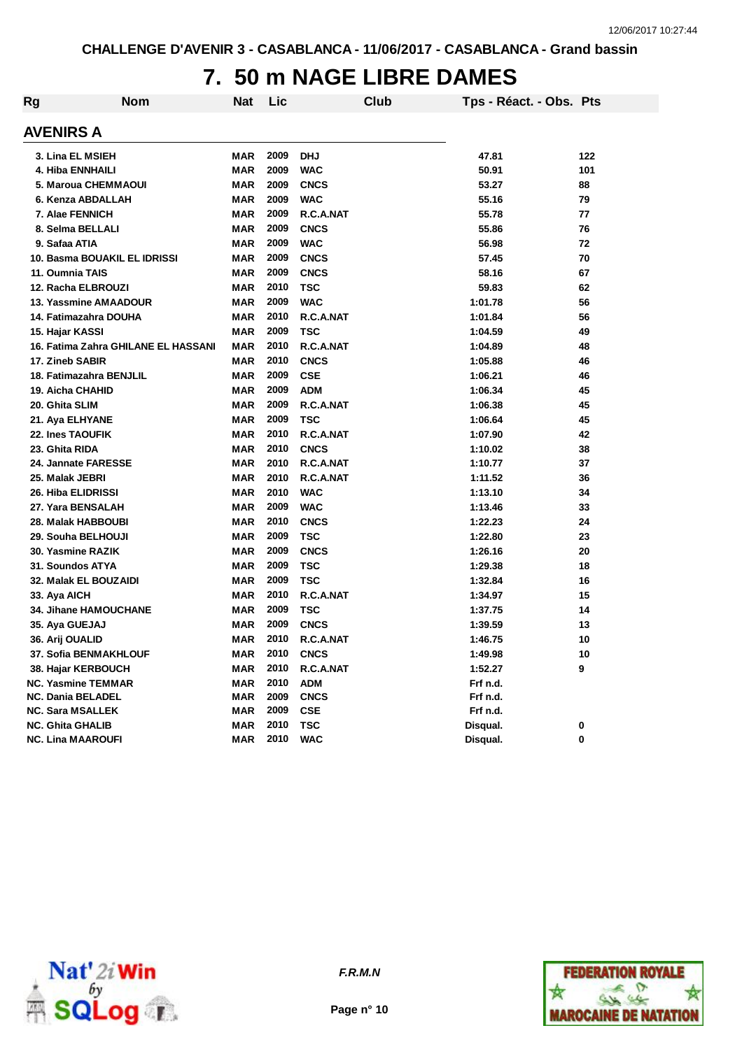# **7. 50 m NAGE LIBRE DAMES**

| Rg | <b>Nom</b>                          | <b>Nat</b> | Lic  |             | Club | Tps - Réact. - Obs. Pts |     |
|----|-------------------------------------|------------|------|-------------|------|-------------------------|-----|
|    | <b>AVENIRS A</b>                    |            |      |             |      |                         |     |
|    | 3. Lina EL MSIEH                    | <b>MAR</b> | 2009 | <b>DHJ</b>  |      | 47.81                   | 122 |
|    | <b>4. Hiba ENNHAILI</b>             | <b>MAR</b> | 2009 | <b>WAC</b>  |      | 50.91                   | 101 |
|    | 5. Maroua CHEMMAOUI                 | <b>MAR</b> | 2009 | <b>CNCS</b> |      | 53.27                   | 88  |
|    | 6. Kenza ABDALLAH                   | <b>MAR</b> | 2009 | <b>WAC</b>  |      | 55.16                   | 79  |
|    | 7. Alae FENNICH                     | MAR        | 2009 | R.C.A.NAT   |      | 55.78                   | 77  |
|    | 8. Selma BELLALI                    | <b>MAR</b> | 2009 | <b>CNCS</b> |      | 55.86                   | 76  |
|    | 9. Safaa ATIA                       | <b>MAR</b> | 2009 | <b>WAC</b>  |      | 56.98                   | 72  |
|    | 10. Basma BOUAKIL EL IDRISSI        | <b>MAR</b> | 2009 | <b>CNCS</b> |      | 57.45                   | 70  |
|    | 11. Oumnia TAIS                     | <b>MAR</b> | 2009 | <b>CNCS</b> |      | 58.16                   | 67  |
|    | 12. Racha ELBROUZI                  | <b>MAR</b> | 2010 | <b>TSC</b>  |      | 59.83                   | 62  |
|    | 13. Yassmine AMAADOUR               | <b>MAR</b> | 2009 | <b>WAC</b>  |      | 1:01.78                 | 56  |
|    | 14. Fatimazahra DOUHA               | <b>MAR</b> | 2010 | R.C.A.NAT   |      | 1:01.84                 | 56  |
|    | 15. Hajar KASSI                     | <b>MAR</b> | 2009 | <b>TSC</b>  |      | 1:04.59                 | 49  |
|    | 16. Fatima Zahra GHILANE EL HASSANI | <b>MAR</b> | 2010 | R.C.A.NAT   |      | 1:04.89                 | 48  |
|    | 17. Zineb SABIR                     | <b>MAR</b> | 2010 | <b>CNCS</b> |      | 1:05.88                 | 46  |
|    | 18. Fatimazahra BENJLIL             | <b>MAR</b> | 2009 | <b>CSE</b>  |      | 1:06.21                 | 46  |
|    | 19. Aicha CHAHID                    | <b>MAR</b> | 2009 | <b>ADM</b>  |      | 1:06.34                 | 45  |
|    | 20. Ghita SLIM                      | <b>MAR</b> | 2009 | R.C.A.NAT   |      | 1:06.38                 | 45  |
|    | 21. Aya ELHYANE                     | <b>MAR</b> | 2009 | <b>TSC</b>  |      | 1:06.64                 | 45  |
|    | 22. Ines TAOUFIK                    | <b>MAR</b> | 2010 | R.C.A.NAT   |      | 1:07.90                 | 42  |
|    | 23. Ghita RIDA                      | <b>MAR</b> | 2010 | <b>CNCS</b> |      | 1:10.02                 | 38  |
|    | 24. Jannate FARESSE                 | <b>MAR</b> | 2010 | R.C.A.NAT   |      | 1:10.77                 | 37  |
|    | 25. Malak JEBRI                     | <b>MAR</b> | 2010 | R.C.A.NAT   |      | 1:11.52                 | 36  |
|    | <b>26. Hiba ELIDRISSI</b>           | <b>MAR</b> | 2010 | <b>WAC</b>  |      | 1:13.10                 | 34  |
|    | 27. Yara BENSALAH                   | <b>MAR</b> | 2009 | <b>WAC</b>  |      | 1:13.46                 | 33  |
|    | 28. Malak HABBOUBI                  | <b>MAR</b> | 2010 | <b>CNCS</b> |      | 1:22.23                 | 24  |
|    | 29. Souha BELHOUJI                  | <b>MAR</b> | 2009 | <b>TSC</b>  |      | 1:22.80                 | 23  |
|    | 30. Yasmine RAZIK                   | MAR        | 2009 | <b>CNCS</b> |      | 1:26.16                 | 20  |
|    | 31. Soundos ATYA                    | <b>MAR</b> | 2009 | TSC         |      | 1:29.38                 | 18  |
|    | 32. Malak EL BOUZAIDI               | MAR        | 2009 | TSC         |      | 1:32.84                 | 16  |
|    | 33. Aya AICH                        | MAR        | 2010 | R.C.A.NAT   |      | 1:34.97                 | 15  |
|    | <b>34. Jihane HAMOUCHANE</b>        | MAR        | 2009 | <b>TSC</b>  |      | 1:37.75                 | 14  |
|    | 35. Aya GUEJAJ                      | MAR        | 2009 | <b>CNCS</b> |      | 1:39.59                 | 13  |
|    | 36. Arij OUALID                     | <b>MAR</b> | 2010 | R.C.A.NAT   |      | 1:46.75                 | 10  |
|    | 37. Sofia BENMAKHLOUF               | MAR        | 2010 | <b>CNCS</b> |      | 1:49.98                 | 10  |
|    | 38. Hajar KERBOUCH                  | <b>MAR</b> | 2010 | R.C.A.NAT   |      | 1:52.27                 | 9   |
|    | <b>NC. Yasmine TEMMAR</b>           | <b>MAR</b> | 2010 | <b>ADM</b>  |      | Frf n.d.                |     |
|    | <b>NC. Dania BELADEL</b>            | <b>MAR</b> | 2009 | <b>CNCS</b> |      | Frf n.d.                |     |
|    | <b>NC. Sara MSALLEK</b>             | <b>MAR</b> | 2009 | <b>CSE</b>  |      | Frf n.d.                |     |
|    | <b>NC. Ghita GHALIB</b>             | <b>MAR</b> | 2010 | <b>TSC</b>  |      | Disqual.                | 0   |
|    | <b>NC. Lina MAAROUFI</b>            | <b>MAR</b> | 2010 | <b>WAC</b>  |      | Disqual.                | 0   |



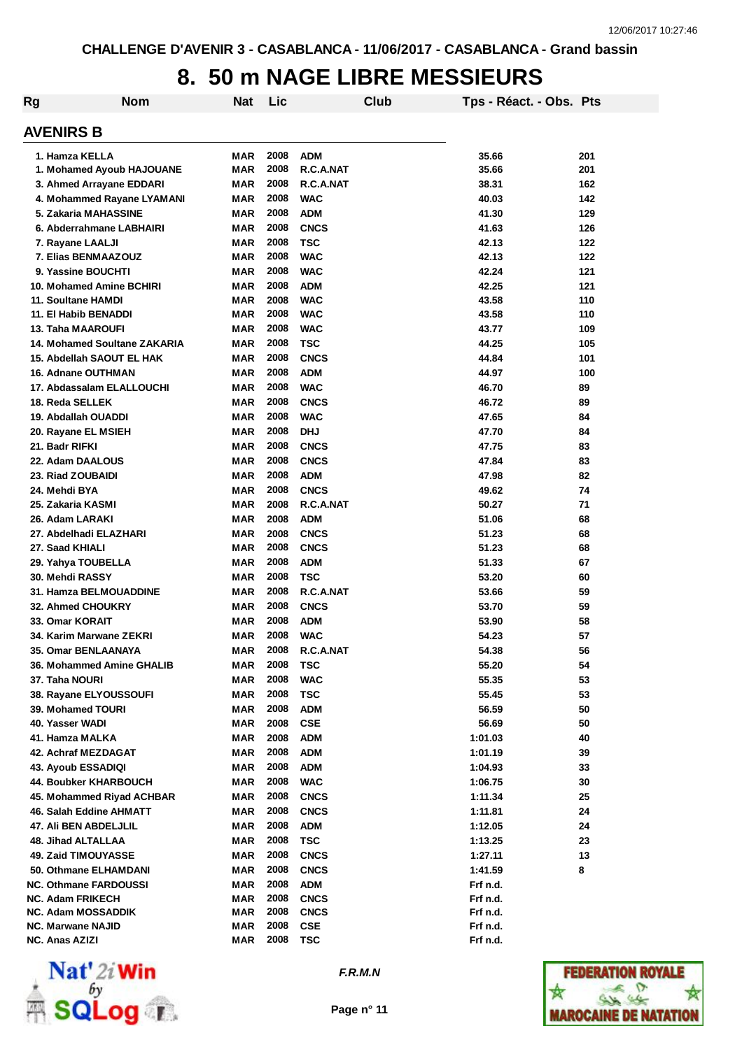### **8. 50 m NAGE LIBRE MESSIEURS**

| Rg | <b>Nom</b>                    | <b>Nat</b> | Lic          |             | Club | Tps - Réact. - Obs. Pts |     |
|----|-------------------------------|------------|--------------|-------------|------|-------------------------|-----|
|    | <b>AVENIRS B</b>              |            |              |             |      |                         |     |
|    | 1. Hamza KELLA                | MAR        | 2008         | <b>ADM</b>  |      | 35.66                   | 201 |
|    | 1. Mohamed Ayoub HAJOUANE     | <b>MAR</b> | 2008         | R.C.A.NAT   |      | 35.66                   | 201 |
|    | 3. Ahmed Arrayane EDDARI      | <b>MAR</b> | 2008         | R.C.A.NAT   |      | 38.31                   | 162 |
|    | 4. Mohammed Rayane LYAMANI    | <b>MAR</b> | 2008         | <b>WAC</b>  |      | 40.03                   | 142 |
|    | 5. Zakaria MAHASSINE          | MAR        | 2008         | <b>ADM</b>  |      | 41.30                   | 129 |
|    | 6. Abderrahmane LABHAIRI      | <b>MAR</b> | 2008         | <b>CNCS</b> |      | 41.63                   | 126 |
|    | 7. Rayane LAALJI              | <b>MAR</b> | 2008         | <b>TSC</b>  |      | 42.13                   | 122 |
|    | 7. Elias BENMAAZOUZ           | MAR        | 2008         | <b>WAC</b>  |      | 42.13                   | 122 |
|    | 9. Yassine BOUCHTI            | <b>MAR</b> | 2008         | <b>WAC</b>  |      | 42.24                   | 121 |
|    | 10. Mohamed Amine BCHIRI      | <b>MAR</b> | 2008         | <b>ADM</b>  |      | 42.25                   | 121 |
|    | 11. Soultane HAMDI            | <b>MAR</b> | 2008         | <b>WAC</b>  |      | 43.58                   | 110 |
|    | 11. El Habib BENADDI          | <b>MAR</b> | 2008         | <b>WAC</b>  |      | 43.58                   | 110 |
|    | 13. Taha MAAROUFI             | <b>MAR</b> | 2008         | <b>WAC</b>  |      | 43.77                   | 109 |
|    | 14. Mohamed Soultane ZAKARIA  | <b>MAR</b> | 2008         | <b>TSC</b>  |      | 44.25                   | 105 |
|    | 15. Abdellah SAOUT EL HAK     | <b>MAR</b> | 2008         | <b>CNCS</b> |      | 44.84                   | 101 |
|    | 16. Adnane OUTHMAN            | <b>MAR</b> | 2008         | <b>ADM</b>  |      | 44.97                   | 100 |
|    | 17. Abdassalam ELALLOUCHI     | <b>MAR</b> | 2008         | <b>WAC</b>  |      | 46.70                   | 89  |
|    | 18. Reda SELLEK               | MAR        | 2008         | <b>CNCS</b> |      | 46.72                   | 89  |
|    | 19. Abdallah OUADDI           | MAR        | 2008         | <b>WAC</b>  |      | 47.65                   | 84  |
|    | 20. Rayane EL MSIEH           | MAR        | 2008         | <b>DHJ</b>  |      | 47.70                   | 84  |
|    | 21. Badr RIFKI                | <b>MAR</b> | 2008         | <b>CNCS</b> |      | 47.75                   | 83  |
|    | 22. Adam DAALOUS              | <b>MAR</b> | 2008         | <b>CNCS</b> |      | 47.84                   | 83  |
|    |                               | <b>MAR</b> | 2008         | <b>ADM</b>  |      | 47.98                   |     |
|    | 23. Riad ZOUBAIDI             |            | 2008         |             |      |                         | 82  |
|    | 24. Mehdi BYA                 | MAR        | 2008         | <b>CNCS</b> |      | 49.62                   | 74  |
|    | 25. Zakaria KASMI             | MAR        |              | R.C.A.NAT   |      | 50.27                   | 71  |
|    | 26. Adam LARAKI               | <b>MAR</b> | 2008         | <b>ADM</b>  |      | 51.06                   | 68  |
|    | 27. Abdelhadi ELAZHARI        | <b>MAR</b> | 2008<br>2008 | <b>CNCS</b> |      | 51.23                   | 68  |
|    | 27. Saad KHIALI               | <b>MAR</b> |              | <b>CNCS</b> |      | 51.23                   | 68  |
|    | 29. Yahya TOUBELLA            | MAR        | 2008         | <b>ADM</b>  |      | 51.33                   | 67  |
|    | 30. Mehdi RASSY               | <b>MAR</b> | 2008         | <b>TSC</b>  |      | 53.20                   | 60  |
|    | <b>31. Hamza BELMOUADDINE</b> | <b>MAR</b> | 2008         | R.C.A.NAT   |      | 53.66                   | 59  |
|    | <b>32. Ahmed CHOUKRY</b>      | <b>MAR</b> | 2008         | <b>CNCS</b> |      | 53.70                   | 59  |
|    | 33. Omar KORAIT               | <b>MAR</b> | 2008         | <b>ADM</b>  |      | 53.90                   | 58  |
|    | 34. Karim Marwane ZEKRI       | MAR        | 2008         | <b>WAC</b>  |      | 54.23                   | 57  |
|    | 35. Omar BENLAANAYA           | MAR        | 2008         | R.C.A.NAT   |      | 54.38                   | 56  |
|    | 36. Mohammed Amine GHALIB     | MAR        | 2008         | <b>TSC</b>  |      | 55.20                   | 54  |
|    | 37. Taha NOURI                | <b>MAR</b> | 2008         | <b>WAC</b>  |      | 55.35                   | 53  |
|    | 38. Rayane ELYOUSSOUFI        | MAR        | 2008         | <b>TSC</b>  |      | 55.45                   | 53  |
|    | 39. Mohamed TOURI             | MAR        | 2008         | <b>ADM</b>  |      | 56.59                   | 50  |
|    | 40. Yasser WADI               | MAR        | 2008         | <b>CSE</b>  |      | 56.69                   | 50  |
|    | 41. Hamza MALKA               | MAR        | 2008         | <b>ADM</b>  |      | 1:01.03                 | 40  |
|    | 42. Achraf MEZDAGAT           | MAR        | 2008         | <b>ADM</b>  |      | 1:01.19                 | 39  |
|    | <b>43. Ayoub ESSADIQI</b>     | MAR        | 2008         | <b>ADM</b>  |      | 1:04.93                 | 33  |
|    | 44. Boubker KHARBOUCH         | MAR        | 2008         | <b>WAC</b>  |      | 1:06.75                 | 30  |
|    | 45. Mohammed Riyad ACHBAR     | MAR        | 2008         | <b>CNCS</b> |      | 1:11.34                 | 25  |
|    | 46. Salah Eddine AHMATT       | MAR        | 2008         | <b>CNCS</b> |      | 1:11.81                 | 24  |
|    | 47. Ali BEN ABDELJLIL         | MAR        | 2008         | ADM         |      | 1:12.05                 | 24  |
|    | 48. Jihad ALTALLAA            | MAR        | 2008         | <b>TSC</b>  |      | 1:13.25                 | 23  |
|    | 49. Zaid TIMOUYASSE           | <b>MAR</b> | 2008         | <b>CNCS</b> |      | 1:27.11                 | 13  |
|    | 50. Othmane ELHAMDANI         | <b>MAR</b> | 2008         | <b>CNCS</b> |      | 1:41.59                 | 8   |
|    | <b>NC. Othmane FARDOUSSI</b>  | <b>MAR</b> | 2008         | <b>ADM</b>  |      | Frf n.d.                |     |
|    | <b>NC. Adam FRIKECH</b>       | MAR        | 2008         | <b>CNCS</b> |      | Frf n.d.                |     |
|    | <b>NC. Adam MOSSADDIK</b>     | MAR        | 2008         | <b>CNCS</b> |      | Frf n.d.                |     |
|    | <b>NC. Marwane NAJID</b>      | <b>MAR</b> | 2008         | <b>CSE</b>  |      | Frf n.d.                |     |
|    | NC. Anas AZIZI                | MAR        | 2008         | <b>TSC</b>  |      | Frf n.d.                |     |



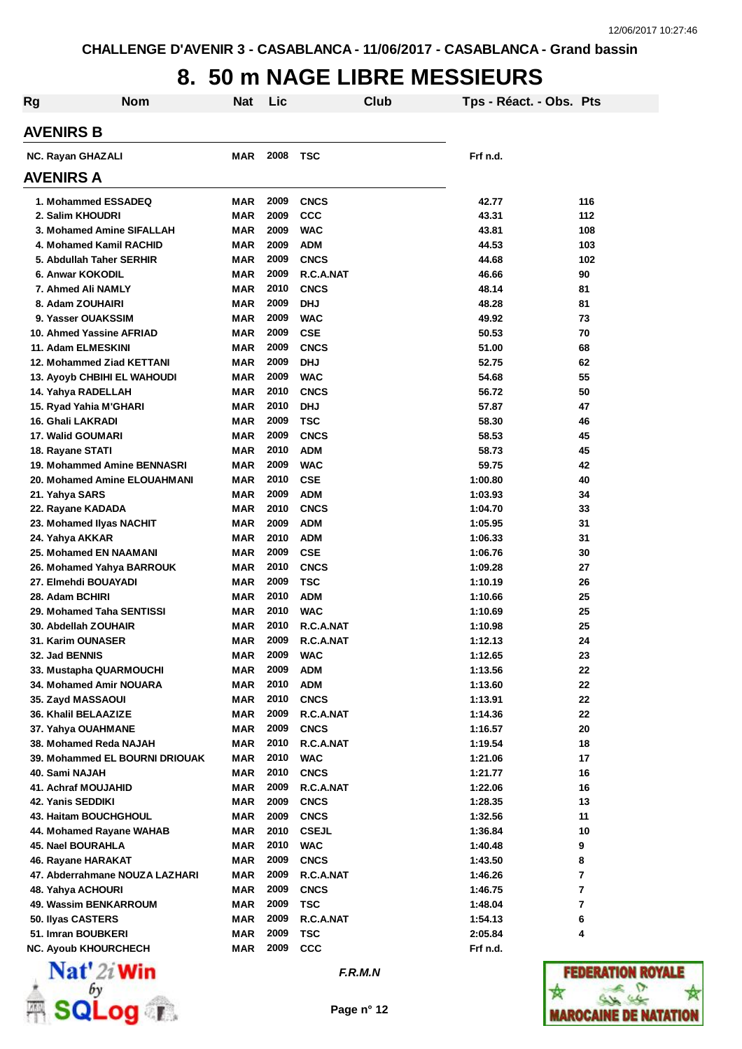### **8. 50 m NAGE LIBRE MESSIEURS**

| <b>Rg</b>         | <b>Nom</b>                                   | Nat                      | Lic          |                           | Club | Tps - Réact. - Obs. Pts |                         |  |  |  |  |
|-------------------|----------------------------------------------|--------------------------|--------------|---------------------------|------|-------------------------|-------------------------|--|--|--|--|
| <b>AVENIRS B</b>  |                                              |                          |              |                           |      |                         |                         |  |  |  |  |
| NC. Rayan GHAZALI |                                              | MAR                      | 2008         | <b>TSC</b>                |      | Frf n.d.                |                         |  |  |  |  |
| <b>AVENIRS A</b>  |                                              |                          |              |                           |      |                         |                         |  |  |  |  |
|                   | 1. Mohammed ESSADEQ                          | MAR                      | 2009         | <b>CNCS</b>               |      | 42.77                   | 116                     |  |  |  |  |
|                   | 2. Salim KHOUDRI                             | <b>MAR</b>               | 2009         | <b>CCC</b>                |      | 43.31                   | 112                     |  |  |  |  |
|                   | 3. Mohamed Amine SIFALLAH                    | MAR                      | 2009         | <b>WAC</b>                |      | 43.81                   | 108                     |  |  |  |  |
|                   | 4. Mohamed Kamil RACHID                      | MAR                      | 2009         | <b>ADM</b>                |      | 44.53                   | 103                     |  |  |  |  |
|                   | 5. Abdullah Taher SERHIR                     | MAR                      | 2009         | <b>CNCS</b>               |      | 44.68                   | 102                     |  |  |  |  |
|                   | 6. Anwar KOKODIL                             | MAR                      | 2009         | R.C.A.NAT                 |      | 46.66                   | 90                      |  |  |  |  |
|                   | 7. Ahmed Ali NAMLY                           | MAR                      | 2010         | <b>CNCS</b>               |      | 48.14                   | 81                      |  |  |  |  |
|                   | 8. Adam ZOUHAIRI                             | <b>MAR</b>               | 2009         | <b>DHJ</b>                |      | 48.28                   | 81                      |  |  |  |  |
|                   | 9. Yasser OUAKSSIM                           | <b>MAR</b>               | 2009         | <b>WAC</b>                |      | 49.92                   | 73                      |  |  |  |  |
|                   | 10. Ahmed Yassine AFRIAD                     | <b>MAR</b>               | 2009         | <b>CSE</b>                |      | 50.53                   | 70                      |  |  |  |  |
|                   | 11. Adam ELMESKINI                           | MAR                      | 2009         | <b>CNCS</b>               |      | 51.00                   | 68                      |  |  |  |  |
|                   | 12. Mohammed Ziad KETTANI                    | <b>MAR</b>               | 2009         | <b>DHJ</b>                |      | 52.75                   | 62                      |  |  |  |  |
|                   | <b>13. Ayoyb CHBIHI EL WAHOUDI</b>           | MAR                      | 2009<br>2010 | <b>WAC</b>                |      | 54.68                   | 55                      |  |  |  |  |
|                   | 14. Yahya RADELLAH                           | <b>MAR</b><br><b>MAR</b> | 2010         | <b>CNCS</b><br><b>DHJ</b> |      | 56.72<br>57.87          | 50<br>47                |  |  |  |  |
|                   | 15. Ryad Yahia M'GHARI<br>16. Ghali LAKRADI  | <b>MAR</b>               | 2009         | <b>TSC</b>                |      | 58.30                   | 46                      |  |  |  |  |
|                   | 17. Walid GOUMARI                            | <b>MAR</b>               | 2009         | <b>CNCS</b>               |      | 58.53                   | 45                      |  |  |  |  |
|                   | 18. Rayane STATI                             | MAR                      | 2010         | <b>ADM</b>                |      | 58.73                   | 45                      |  |  |  |  |
|                   | 19. Mohammed Amine BENNASRI                  | <b>MAR</b>               | 2009         | <b>WAC</b>                |      | 59.75                   | 42                      |  |  |  |  |
|                   | 20. Mohamed Amine ELOUAHMANI                 | <b>MAR</b>               | 2010         | <b>CSE</b>                |      | 1:00.80                 | 40                      |  |  |  |  |
| 21. Yahya SARS    |                                              | <b>MAR</b>               | 2009         | <b>ADM</b>                |      | 1:03.93                 | 34                      |  |  |  |  |
|                   | 22. Rayane KADADA                            | MAR                      | 2010         | <b>CNCS</b>               |      | 1:04.70                 | 33                      |  |  |  |  |
|                   | 23. Mohamed Ilyas NACHIT                     | MAR                      | 2009         | <b>ADM</b>                |      | 1:05.95                 | 31                      |  |  |  |  |
|                   | 24. Yahya AKKAR                              | MAR                      | 2010         | <b>ADM</b>                |      | 1:06.33                 | 31                      |  |  |  |  |
|                   | 25. Mohamed EN NAAMANI                       | MAR                      | 2009         | <b>CSE</b>                |      | 1:06.76                 | 30                      |  |  |  |  |
|                   | 26. Mohamed Yahya BARROUK                    | MAR                      | 2010         | <b>CNCS</b>               |      | 1:09.28                 | 27                      |  |  |  |  |
|                   | 27. Elmehdi BOUAYADI                         | MAR                      | 2009         | <b>TSC</b>                |      | 1:10.19                 | 26                      |  |  |  |  |
|                   | 28. Adam BCHIRI                              | MAR                      | 2010         | <b>ADM</b>                |      | 1:10.66                 | 25                      |  |  |  |  |
|                   | 29. Mohamed Taha SENTISSI                    | MAR                      | 2010         | <b>WAC</b>                |      | 1:10.69                 | 25                      |  |  |  |  |
|                   | 30. Abdellah ZOUHAIR                         | <b>MAR</b>               | 2010         | R.C.A.NAT                 |      | 1:10.98                 | 25                      |  |  |  |  |
|                   | 31. Karim OUNASER                            | MAR                      | 2009         | R.C.A.NAT                 |      | 1:12.13                 | 24                      |  |  |  |  |
| 32. Jad BENNIS    |                                              | MAR                      | 2009         | <b>WAC</b>                |      | 1:12.65                 | 23                      |  |  |  |  |
|                   | 33. Mustapha QUARMOUCHI                      | MAR                      | 2009         | <b>ADM</b>                |      | 1:13.56                 | 22                      |  |  |  |  |
|                   | 34. Mohamed Amir NOUARA                      | <b>MAR</b>               | 2010         | <b>ADM</b>                |      | 1:13.60                 | 22                      |  |  |  |  |
|                   | 35. Zayd MASSAOUI                            | MAR                      | 2010         | <b>CNCS</b>               |      | 1:13.91                 | 22                      |  |  |  |  |
|                   | 36. Khalil BELAAZIZE                         | MAR                      | 2009         | R.C.A.NAT                 |      | 1:14.36                 | 22                      |  |  |  |  |
|                   | 37. Yahya OUAHMANE<br>38. Mohamed Reda NAJAH | MAR<br>MAR               | 2009<br>2010 | <b>CNCS</b><br>R.C.A.NAT  |      | 1:16.57<br>1:19.54      | 20<br>18                |  |  |  |  |
|                   | 39. Mohammed EL BOURNI DRIOUAK               | <b>MAR</b>               | 2010         | <b>WAC</b>                |      | 1:21.06                 | 17                      |  |  |  |  |
| 40. Sami NAJAH    |                                              | MAR                      | 2010         | <b>CNCS</b>               |      | 1:21.77                 | 16                      |  |  |  |  |
|                   | <b>41. Achraf MOUJAHID</b>                   | MAR                      | 2009         | R.C.A.NAT                 |      | 1:22.06                 | 16                      |  |  |  |  |
|                   | 42. Yanis SEDDIKI                            | MAR                      | 2009         | <b>CNCS</b>               |      | 1:28.35                 | 13                      |  |  |  |  |
|                   | 43. Haitam BOUCHGHOUL                        | MAR                      | 2009         | <b>CNCS</b>               |      | 1:32.56                 | 11                      |  |  |  |  |
|                   | 44. Mohamed Rayane WAHAB                     | MAR                      | 2010         | <b>CSEJL</b>              |      | 1:36.84                 | 10                      |  |  |  |  |
|                   | 45. Nael BOURAHLA                            | MAR                      | 2010         | <b>WAC</b>                |      | 1:40.48                 | 9                       |  |  |  |  |
|                   | 46. Rayane HARAKAT                           | <b>MAR</b>               | 2009         | <b>CNCS</b>               |      | 1:43.50                 | 8                       |  |  |  |  |
|                   | 47. Abderrahmane NOUZA LAZHARI               | <b>MAR</b>               | 2009         | R.C.A.NAT                 |      | 1:46.26                 | $\overline{\mathbf{r}}$ |  |  |  |  |
|                   | 48. Yahya ACHOURI                            | MAR                      | 2009         | <b>CNCS</b>               |      | 1:46.75                 | $\overline{\mathbf{r}}$ |  |  |  |  |
|                   | 49. Wassim BENKARROUM                        | MAR                      | 2009         | TSC                       |      | 1:48.04                 | $\overline{7}$          |  |  |  |  |
|                   | 50. Ilyas CASTERS                            | MAR                      | 2009         | R.C.A.NAT                 |      | 1:54.13                 | 6                       |  |  |  |  |
|                   | 51. Imran BOUBKERI                           | MAR                      | 2009         | TSC                       |      | 2:05.84                 | 4                       |  |  |  |  |
|                   | <b>NC. Ayoub KHOURCHECH</b>                  | MAR                      | 2009         | <b>CCC</b>                |      | Frf n.d.                |                         |  |  |  |  |